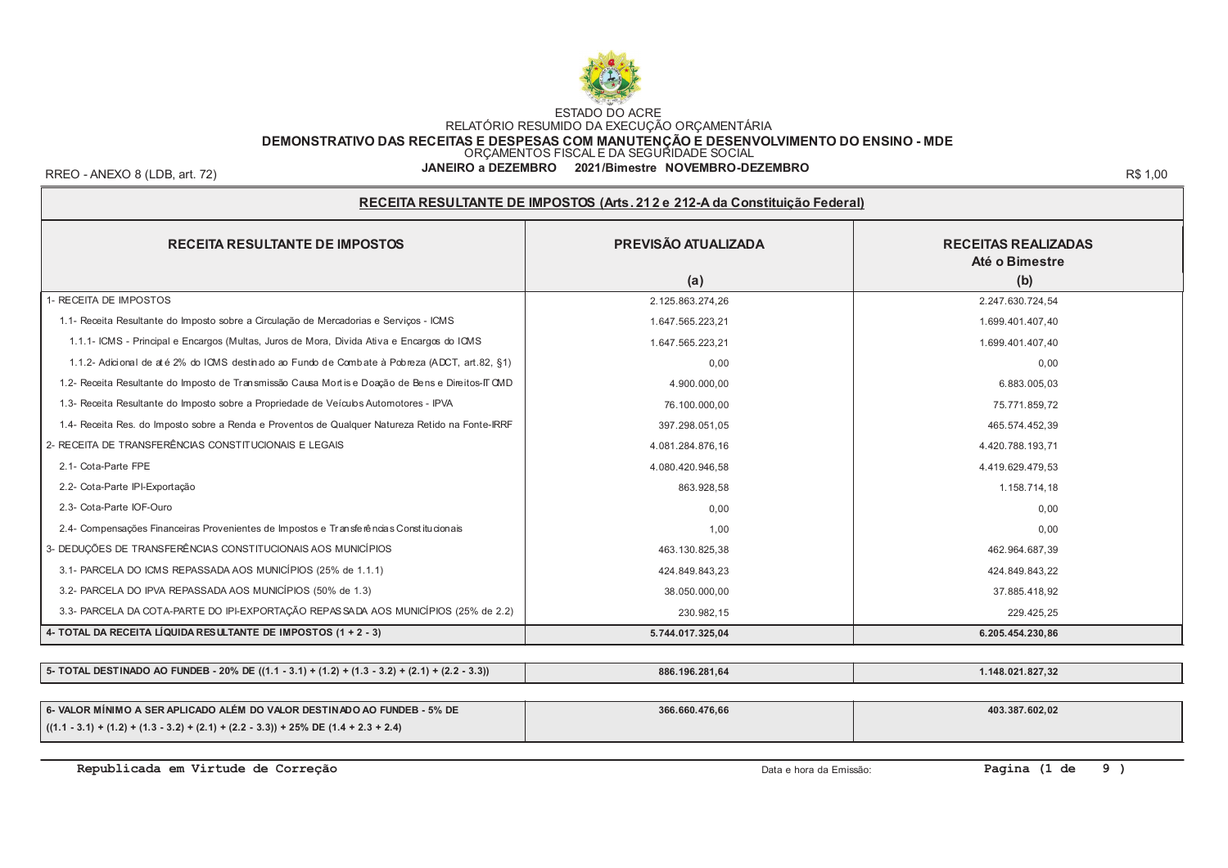

DEMONSTRATIVO DAS RECEITAS E DESPESAS COM MANUTENÇÃO E DESENVOLVIMENTO DO ENSINO - MDE<br>ORÇAMENTOS FISCAL E DA SEGURIDADE SOCIAL

RREO - ANEXO 8 (LDB, art. 72)

#### JANEIRO a DEZEMBRO 2021/Bimestre NOVEMBRO-DEZEMBRO

R\$ 1.00

| RECEITA RESULTANTE DE IMPOSTOS (Arts. 212 e 212-A da Constituição Federal)                        |                            |                                                     |  |  |  |  |  |
|---------------------------------------------------------------------------------------------------|----------------------------|-----------------------------------------------------|--|--|--|--|--|
| <b>RECEITA RESULTANTE DE IMPOSTOS</b>                                                             | PREVISÃO ATUALIZADA<br>(a) | <b>RECEITAS REALIZADAS</b><br>Até o Bimestre<br>(b) |  |  |  |  |  |
| 1- RECEITA DE IMPOSTOS                                                                            | 2.125.863.274,26           | 2.247.630.724,54                                    |  |  |  |  |  |
| 1.1- Receita Resultante do Imposto sobre a Circulação de Mercadorias e Serviços - ICMS            | 1.647.565.223,21           | 1.699.401.407,40                                    |  |  |  |  |  |
| 1.1.1- ICMS - Principal e Encargos (Multas, Juros de Mora, Divida Ativa e Encargos do ICMS        | 1.647.565.223,21           | 1.699.401.407,40                                    |  |  |  |  |  |
| 1.1.2- Adicional de até 2% do ICMS destinado ao Fundo de Combate à Pobreza (ADCT, art.82, §1)     | 0,00                       | 0,00                                                |  |  |  |  |  |
| 1.2- Receita Resultante do Imposto de Transmissão Causa Mortis e Doação de Bens e Direitos-IT CMD | 4.900.000,00               | 6.883.005,03                                        |  |  |  |  |  |
| 1.3- Receita Resultante do Imposto sobre a Propriedade de Veículos Automotores - IPVA             | 76.100.000,00              | 75.771.859.72                                       |  |  |  |  |  |
| 1.4- Receita Res. do Imposto sobre a Renda e Proventos de Qualquer Natureza Retido na Fonte-IRRF  | 397.298.051,05             | 465.574.452,39                                      |  |  |  |  |  |
| 2- RECEITA DE TRANSFERÊNCIAS CONSTITUCIONAIS E LEGAIS                                             | 4.081.284.876,16           | 4.420.788.193,71                                    |  |  |  |  |  |
| 2.1- Cota-Parte FPE                                                                               | 4.080.420.946,58           | 4.419.629.479.53                                    |  |  |  |  |  |
| 2.2- Cota-Parte IPI-Exportação                                                                    | 863.928.58                 | 1.158.714,18                                        |  |  |  |  |  |
| 2.3- Cota-Parte IOF-Ouro                                                                          | 0,00                       | 0.00                                                |  |  |  |  |  |
| 2.4- Compensações Financeiras Provenientes de Impostos e Transferências Constitucionais           | 1.00                       | 0.00                                                |  |  |  |  |  |
| 3- DEDUÇÕES DE TRANSFERÊNCIAS CONSTITUCIONAIS AOS MUNICÍPIOS                                      | 463.130.825,38             | 462.964.687,39                                      |  |  |  |  |  |
| 3.1- PARCELA DO ICMS REPASSADA AOS MUNICÍPIOS (25% de 1.1.1)                                      | 424.849.843,23             | 424.849.843,22                                      |  |  |  |  |  |
| 3.2- PARCELA DO IPVA REPASSADA AOS MUNICÍPIOS (50% de 1.3)                                        | 38.050.000,00              | 37.885.418.92                                       |  |  |  |  |  |
| 3.3- PARCELA DA COTA-PARTE DO IPI-EXPORTAÇÃO REPASSADA AOS MUNICÍPIOS (25% de 2.2)                | 230.982,15                 | 229.425,25                                          |  |  |  |  |  |
| 4- TOTAL DA RECEITA LÍQUIDA RESULTANTE DE IMPOSTOS (1 + 2 - 3)                                    | 5.744.017.325,04           | 6.205.454.230,86                                    |  |  |  |  |  |
|                                                                                                   |                            |                                                     |  |  |  |  |  |
| 5- TOTAL DESTINADO AO FUNDEB - 20% DE ((1.1 - 3.1) + (1.2) + (1.3 - 3.2) + (2.1) + (2.2 - 3.3))   | 886.196.281,64             | 1.148.021.827,32                                    |  |  |  |  |  |
|                                                                                                   |                            |                                                     |  |  |  |  |  |

| │ 6- VALOR MÍNIMO A SER APLICADO ALÉM DO VALOR DESTINADO AO FUNDEB - 5% DE               | 366.660.476,66 | 403.387.602,02 |
|------------------------------------------------------------------------------------------|----------------|----------------|
| $(1.1 - 3.1) + (1.2) + (1.3 - 3.2) + (2.1) + (2.2 - 3.3)) + 25\%$ DE $(1.4 + 2.3 + 2.4)$ |                |                |

Republicada em Virtude de Correção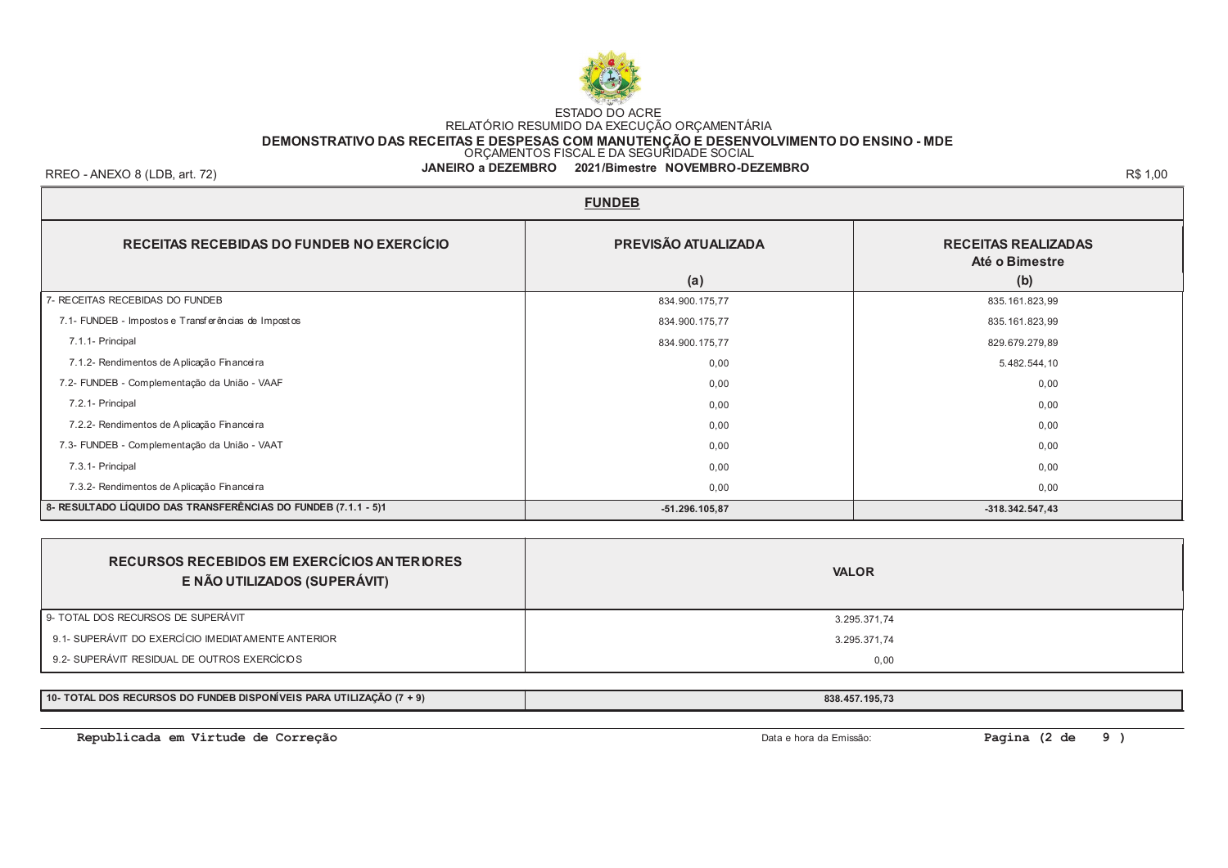

### DEMONSTRATIVO DAS RECEITAS E DESPESAS COM MANUTENÇÃO E DESENVOLVIMENTO DO ENSINO - MDE<br>ORÇAMENTOS FISCAL E DA SEGURIDADE SOCIAL

#### JANEIRO a DEZEMBRO 2021/Bimestre NOVEMBRO-DEZEMBRO

RREO - ANEXO 8 (LDB, art. 72)

| <b>FUNDEB</b>                                                  |                                                     |                   |  |  |  |  |
|----------------------------------------------------------------|-----------------------------------------------------|-------------------|--|--|--|--|
| RECEITAS RECEBIDAS DO FUNDEB NO EXERCÍCIO                      | <b>RECEITAS REALIZADAS</b><br>Até o Bimestre<br>(b) |                   |  |  |  |  |
|                                                                | (a)                                                 |                   |  |  |  |  |
| 7- RECEITAS RECEBIDAS DO FUNDEB                                | 834.900.175,77                                      | 835.161.823,99    |  |  |  |  |
| 7.1- FUNDEB - Impostos e Transferências de Impostos            | 834.900.175,77                                      | 835.161.823,99    |  |  |  |  |
| 7.1.1- Principal                                               | 834.900.175,77                                      | 829.679.279,89    |  |  |  |  |
| 7.1.2- Rendimentos de Aplicação Financeira                     | 0,00                                                | 5.482.544,10      |  |  |  |  |
| 7.2- FUNDEB - Complementação da União - VAAF                   | 0,00                                                | 0,00              |  |  |  |  |
| 7.2.1- Principal                                               | 0,00                                                | 0,00              |  |  |  |  |
| 7.2.2- Rendimentos de Aplicação Financeira                     | 0,00                                                | 0,00              |  |  |  |  |
| 7.3- FUNDEB - Complementação da União - VAAT                   | 0,00                                                | 0,00              |  |  |  |  |
| 7.3.1- Principal                                               | 0,00                                                | 0,00              |  |  |  |  |
| 7.3.2- Rendimentos de Aplicação Financeira                     | 0,00                                                | 0,00              |  |  |  |  |
| 8- RESULTADO LÍQUIDO DAS TRANSFERÊNCIAS DO FUNDEB (7.1.1 - 5)1 | $-51.296.105,87$                                    | $-318.342.547,43$ |  |  |  |  |

| RECURSOS RECEBIDOS EM EXERCÍCIOS ANTERIORES<br>E NÃO UTILIZADOS (SUPERÁVIT) | <b>VALOR</b> |
|-----------------------------------------------------------------------------|--------------|
| 9- TOTAL DOS RECURSOS DE SUPERÁVIT                                          | 3.295.371,74 |
| 9.1- SUPERÁVIT DO EXERCÍCIO IMEDIATAMENTE ANTERIOR                          | 3.295.371,74 |
| 9.2- SUPERÁVIT RESIDUAL DE OUTROS EXERCÍCIOS                                | 0.00         |

10- TOTAL DOS RECURSOS DO FUNDEB DISPONÍVEIS PARA UTILIZAÇÃO (7 + 9)

Republicada em Virtude de Correção

Data e hora da Emissão:

838.457.195,73

Pagina (2 de  $9)$ 

R\$ 1.00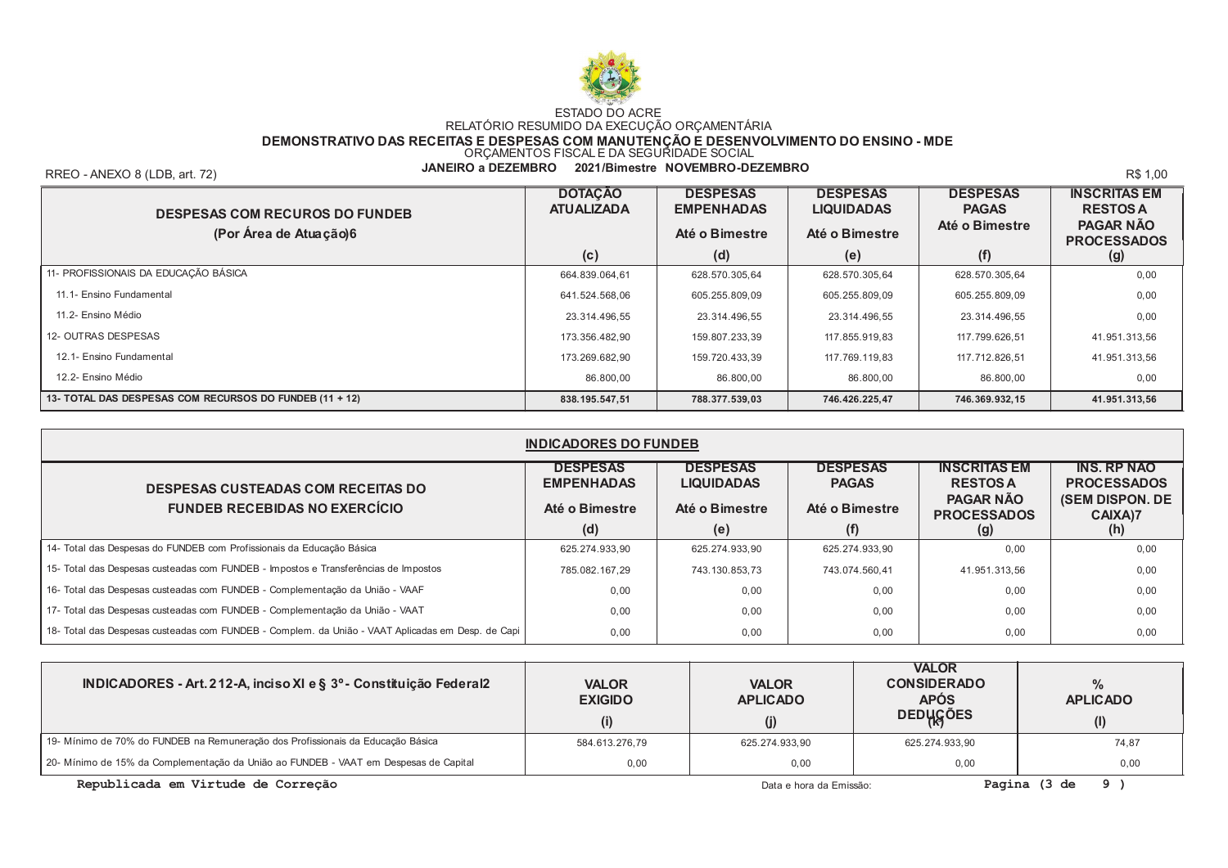

DEMONSTRATIVO DAS RECEITAS E DESPESAS COM MANUTENÇÃO E DESENVOLVIMENTO DO ENSINO - MDE<br>ORÇAMENTOS FISCAL E DA SEGURIDADE SOCIAL

RREO - ANEXO 8 (LDB, art. 72)

JANEIRO a DEZEMBRO 2021/Bimestre NOVEMBRO-DEZEMBRO

R\$ 1.00

| <b>DESPESAS COM RECUROS DO FUNDEB</b><br>(Por Área de Atuação)6 | <b>DOTAÇÃO</b><br><b>ATUALIZADA</b> | <b>DESPESAS</b><br><b>EMPENHADAS</b><br>Até o Bimestre | <b>DESPESAS</b><br><b>LIQUIDADAS</b><br>Até o Bimestre | <b>DESPESAS</b><br><b>PAGAS</b><br>Até o Bimestre | <b>INSCRITAS EM</b><br><b>RESTOS A</b><br><b>PAGAR NÃO</b><br><b>PROCESSADOS</b> |
|-----------------------------------------------------------------|-------------------------------------|--------------------------------------------------------|--------------------------------------------------------|---------------------------------------------------|----------------------------------------------------------------------------------|
|                                                                 | (c)                                 | (d)                                                    | (e)                                                    | (f)                                               | (g)                                                                              |
| 11- PROFISSIONAIS DA EDUCAÇÃO BÁSICA                            | 664.839.064,61                      | 628.570.305.64                                         | 628.570.305.64                                         | 628.570.305,64                                    | 0.00                                                                             |
| 11.1- Ensino Fundamental                                        | 641.524.568.06                      | 605.255.809.09                                         | 605.255.809,09                                         | 605.255.809,09                                    | 0.00                                                                             |
| 11.2- Ensino Médio                                              | 23.314.496.55                       | 23.314.496.55                                          | 23.314.496.55                                          | 23.314.496.55                                     | 0.00                                                                             |
| 12- OUTRAS DESPESAS                                             | 173.356.482.90                      | 159.807.233.39                                         | 117.855.919.83                                         | 117.799.626.51                                    | 41.951.313.56                                                                    |
| 12.1- Ensino Fundamental                                        | 173.269.682.90                      | 159.720.433.39                                         | 117.769.119.83                                         | 117.712.826.51                                    | 41.951.313.56                                                                    |
| 12.2- Ensino Médio                                              | 86.800,00                           | 86.800,00                                              | 86.800,00                                              | 86.800,00                                         | 0,00                                                                             |
| 13- TOTAL DAS DESPESAS COM RECURSOS DO FUNDEB (11 + 12)         | 838.195.547,51                      | 788.377.539,03                                         | 746.426.225.47                                         | 746.369.932,15                                    | 41.951.313.56                                                                    |

| <b>INDICADORES DO FUNDEB</b>                                                                      |                                      |                                      |                                 |                                        |                                          |  |
|---------------------------------------------------------------------------------------------------|--------------------------------------|--------------------------------------|---------------------------------|----------------------------------------|------------------------------------------|--|
| <b>DESPESAS CUSTEADAS COM RECEITAS DO</b>                                                         | <b>DESPESAS</b><br><b>EMPENHADAS</b> | <b>DESPESAS</b><br><b>LIQUIDADAS</b> | <b>DESPESAS</b><br><b>PAGAS</b> | <b>INSCRITAS EM</b><br><b>RESTOS A</b> | <b>INS. RP NAO</b><br><b>PROCESSADOS</b> |  |
| <b>FUNDEB RECEBIDAS NO EXERCÍCIO</b>                                                              | Até o Bimestre                       | Até o Bimestre                       | Até o Bimestre                  | <b>PAGAR NÃO</b><br><b>PROCESSADOS</b> | <b>(SEM DISPON. DE</b><br>CAIXA)7        |  |
|                                                                                                   | (d)                                  | (e)                                  | (f)                             | (g)                                    | (h)                                      |  |
| 14- Total das Despesas do FUNDEB com Profissionais da Educação Básica                             | 625.274.933.90                       | 625.274.933.90                       | 625.274.933.90                  | 0.00                                   | 0,00                                     |  |
| 15- Total das Despesas custeadas com FUNDEB - Impostos e Transferências de Impostos               | 785.082.167.29                       | 743.130.853.73                       | 743.074.560.41                  | 41.951.313.56                          | 0,00                                     |  |
| 16- Total das Despesas custeadas com FUNDEB - Complementação da União - VAAF                      | 0.00                                 | 0,00                                 | 0.00                            | 0.00                                   | 0,00                                     |  |
| 17- Total das Despesas custeadas com FUNDEB - Complementação da União - VAAT                      | 0.00                                 | 0.00                                 | 0.00                            | 0.00                                   | 0,00                                     |  |
| 18- Total das Despesas custeadas com FUNDEB - Complem. da União - VAAT Aplicadas em Desp. de Capi | 0,00                                 | 0,00                                 | 0,00                            | 0,00                                   | 0,00                                     |  |

| INDICADORES - Art. 212-A, inciso XI e § 3º - Constituição Federal2                   | <b>VALOR</b><br><b>EXIGIDO</b> | <b>VALOR</b><br><b>APLICADO</b> | <b>VALOR</b><br><b>CONSIDERADO</b><br><b>APÓS</b><br>DEDUGÕES | <b>APLICADO</b> |
|--------------------------------------------------------------------------------------|--------------------------------|---------------------------------|---------------------------------------------------------------|-----------------|
|                                                                                      | (i)                            | (j)                             |                                                               | (1)             |
| 19- Mínimo de 70% do FUNDEB na Remuneração dos Profissionais da Educação Básica      | 584.613.276,79                 | 625.274.933.90                  | 625.274.933.90                                                | 74,87           |
| 20- Mínimo de 15% da Complementação da União ao FUNDEB - VAAT em Despesas de Capital | 0.00                           | 0.00                            | 0.00                                                          | 0,00            |

Republicada em Virtude de Correção

Data e hora da Emissão:

Pagina  $(3 de 9)$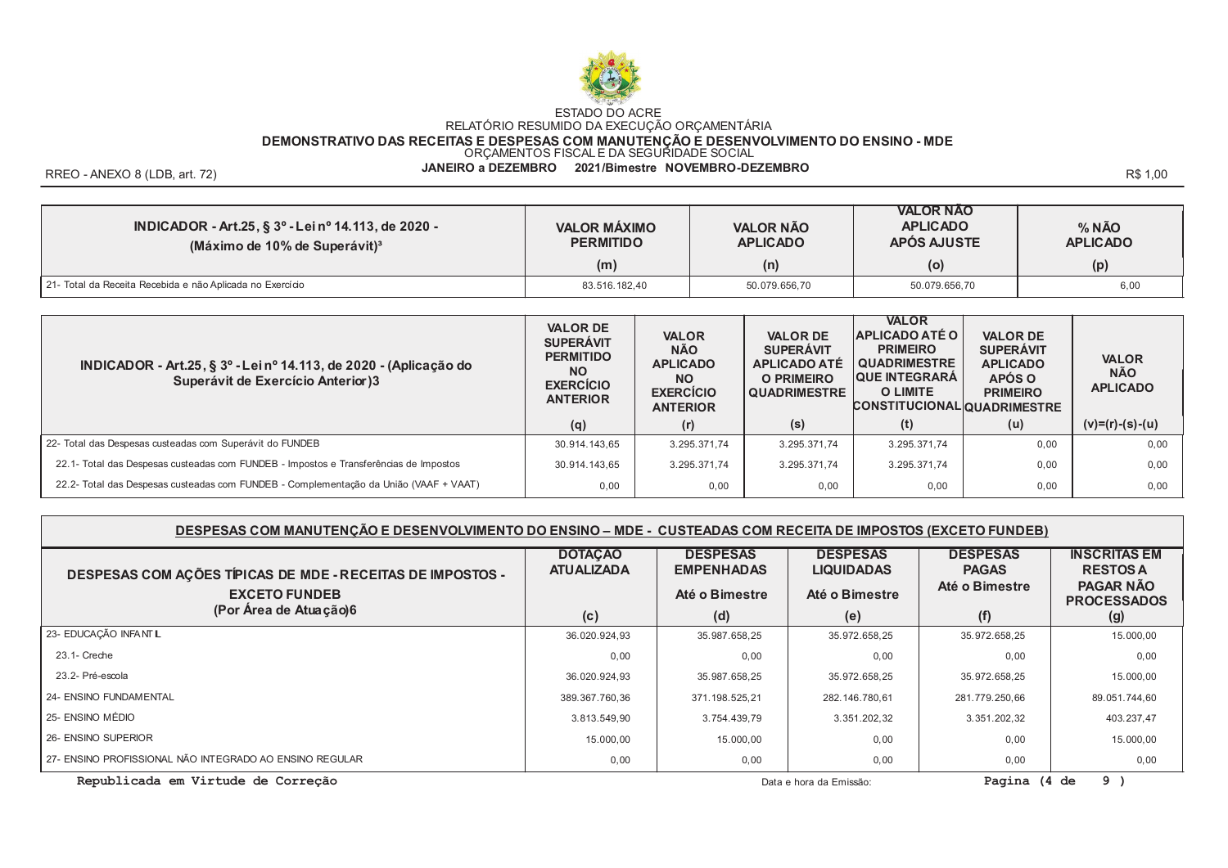

DEMONSTRATIVO DAS RECEITAS E DESPESAS COM MANUTENÇÃO E DESENVOLVIMENTO DO ENSINO - MDE<br>ORÇAMENTOS FISCAL E DA SEGURIDADE SOCIAL

JANEIRO a DEZEMBRO 2021/Bimestre NOVEMBRO-DEZEMBRO

RREO - ANEXO 8 (LDB. art. 72)

R\$ 1.00

| INDICADOR - Art.25, § 3º - Lei nº 14.113, de 2020 -<br>(Máximo de 10% de Superávit) <sup>3</sup> | <b>VALOR MÁXIMO</b><br><b>PERMITIDO</b><br>(m) | <b>VALOR NÃO</b><br><b>APLICADO</b><br>(n) | <b>VALOR NAO</b><br><b>APLICADO</b><br>APÓS AJUSTE<br>(o) | % NÃO<br><b>APLICADO</b><br>(p) |
|--------------------------------------------------------------------------------------------------|------------------------------------------------|--------------------------------------------|-----------------------------------------------------------|---------------------------------|
|                                                                                                  |                                                |                                            |                                                           |                                 |
| 21- Total da Receita Recebida e não Aplicada no Exercício                                        | 83.516.182,40                                  | 50.079.656,70                              | 50.079.656,70                                             | 6,00                            |

| INDICADOR - Art.25, § 3º - Lei nº 14.113, de 2020 - (Aplicação do<br>Superávit de Exercício Anterior)3 | <b>VALOR DE</b><br><b>SUPERAVIT</b><br><b>PERMITIDO</b><br><b>NO</b><br><b>EXERCÍCIO</b><br><b>ANTERIOR</b> | <b>VALOR</b><br><b>NÃO</b><br><b>APLICADO</b><br><b>NO</b><br><b>EXERCÍCIO</b><br><b>ANTERIOR</b> | <b>VALOR DE</b><br><b>SUPERAVIT</b><br><b>APLICADO ATÉ</b><br><b>O PRIMEIRO</b><br><b>QUADRIMESTRE</b> | <b>VALOR</b><br><b>APLICADO ATÉ O</b><br><b>PRIMEIRO</b><br><b>QUADRIMESTRE</b><br><b>QUE INTEGRARA</b><br>O LIMITE<br><b>CONSTITUCIONAL QUADRIMESTRE</b> | <b>VALOR DE</b><br><b>SUPERAVIT</b><br><b>APLICADO</b><br>APÓS O<br><b>PRIMEIRO</b> | <b>VALOR</b><br><b>NÃO</b><br><b>APLICADO</b> |
|--------------------------------------------------------------------------------------------------------|-------------------------------------------------------------------------------------------------------------|---------------------------------------------------------------------------------------------------|--------------------------------------------------------------------------------------------------------|-----------------------------------------------------------------------------------------------------------------------------------------------------------|-------------------------------------------------------------------------------------|-----------------------------------------------|
|                                                                                                        | (q)                                                                                                         | (r)                                                                                               | (s)                                                                                                    | (t)                                                                                                                                                       | (u)                                                                                 | $(v)=(r)-(s)-(u)$                             |
| 22- Total das Despesas custeadas com Superávit do FUNDEB                                               | 30.914.143.65                                                                                               | 3.295.371.74                                                                                      | 3.295.371.74                                                                                           | 3.295.371.74                                                                                                                                              | 0.00                                                                                | 0.00                                          |
| 22.1- Total das Despesas custeadas com FUNDEB - Impostos e Transferências de Impostos                  | 30.914.143.65                                                                                               | 3.295.371.74                                                                                      | 3.295.371.74                                                                                           | 3.295.371.74                                                                                                                                              | 0.00                                                                                | 0.00                                          |
| 22.2- Total das Despesas custeadas com FUNDEB - Complementação da União (VAAF + VAAT)                  | 0.00                                                                                                        | 0.00                                                                                              | 0.00                                                                                                   | 0.00                                                                                                                                                      | 0.00                                                                                | 0,00                                          |

#### DESPESAS COM MANUTENÇÃO E DESENVOLVIMENTO DO ENSINO - MDE - CUSTEADAS COM RECEITA DE IMPOSTOS (EXCETO FUNDEB)

| DESPESAS COM AÇÕES TÍPICAS DE MDE - RECEITAS DE IMPOSTOS -<br><b>EXCETO FUNDEB</b> | <b>DOTAÇÃO</b><br><b>ATUALIZADA</b> | <b>DESPESAS</b><br><b>EMPENHADAS</b><br>Até o Bimestre | <b>DESPESAS</b><br><b>LIQUIDADAS</b><br>Até o Bimestre | <b>DESPESAS</b><br><b>PAGAS</b><br>Até o Bimestre | <b>INSCRITAS EM</b><br><b>RESTOS A</b><br>PAGAR NÃO<br><b>PROCESSADOS</b> |
|------------------------------------------------------------------------------------|-------------------------------------|--------------------------------------------------------|--------------------------------------------------------|---------------------------------------------------|---------------------------------------------------------------------------|
| (Por Área de Atuação)6                                                             | (c)                                 | (d)                                                    | (e)                                                    | (f)                                               | (g)                                                                       |
| 23- EDUCAÇÃO INFANT L                                                              | 36.020.924,93                       | 35.987.658,25                                          | 35.972.658,25                                          | 35.972.658,25                                     | 15.000,00                                                                 |
| 23.1- Creche                                                                       | 0.00                                | 0,00                                                   | 0.00                                                   | 0.00                                              | 0,00                                                                      |
| 23.2- Pré-escola                                                                   | 36.020.924,93                       | 35.987.658,25                                          | 35.972.658,25                                          | 35.972.658,25                                     | 15.000,00                                                                 |
| 24- ENSINO FUNDAMENTAL                                                             | 389.367.760.36                      | 371.198.525.21                                         | 282.146.780.61                                         | 281.779.250.66                                    | 89.051.744.60                                                             |
| 25- ENSINO MÉDIO                                                                   | 3.813.549,90                        | 3.754.439,79                                           | 3.351.202,32                                           | 3.351.202,32                                      | 403.237,47                                                                |
| 26- ENSINO SUPERIOR                                                                | 15.000,00                           | 15.000,00                                              | 0.00                                                   | 0.00                                              | 15.000,00                                                                 |
| 27- ENSINO PROFISSIONAL NÃO INTEGRADO AO ENSINO REGULAR                            | 0,00                                | 0,00                                                   | 0,00                                                   | 0,00                                              | 0,00                                                                      |

Republicada em Virtude de Correção

Data e hora da Emissão:

Pagina (4 de  $9<sub>0</sub>$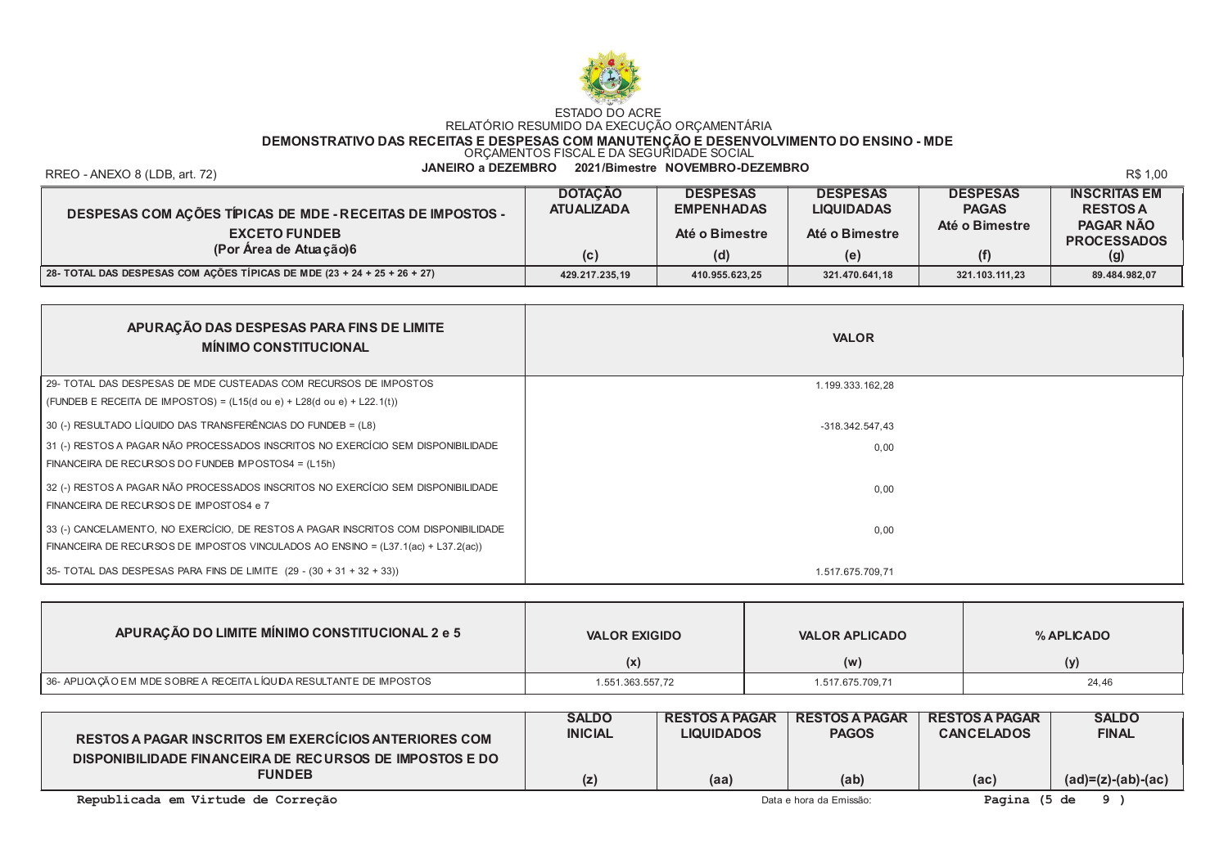

DEMONSTRATIVO DAS RECEITAS E DESPESAS COM MANUTENÇÃO E DESENVOLVIMENTO DO ENSINO - MDE<br>ORÇAMENTOS FISCAL E DA SEGURIDADE SOCIAL

RREO - ANEXO 8 (LDB, art. 72)

#### JANEIRO a DEZEMBRO 2021/Bimestre NOVEMBRO-DEZEMBRO

R\$ 1.00

|                                                                          | <b>DOTACAO</b>    | <b>DESPESAS</b>   | <b>DESPESAS</b>   | <b>DESPESAS</b> | <b>INSCRITAS EM</b>                    |
|--------------------------------------------------------------------------|-------------------|-------------------|-------------------|-----------------|----------------------------------------|
| <b>DESPESAS COM AÇÕES TÍPICAS DE MDE - RECEITAS DE IMPOSTOS -</b>        | <b>ATUALIZADA</b> | <b>EMPENHADAS</b> | <b>LIQUIDADAS</b> | <b>PAGAS</b>    | <b>RESTOS A</b>                        |
| <b>EXCETO FUNDEB</b>                                                     |                   | Até o Bimestre    | Até o Bimestre    | Até o Bimestre  | <b>PAGAR NÃO</b><br><b>PROCESSADOS</b> |
| (Por Area de Atuação)6                                                   | (c)               | (d)               | (e)               | (f)             | (g)                                    |
| 28- TOTAL DAS DESPESAS COM AÇÕES TÍPICAS DE MDE (23 + 24 + 25 + 26 + 27) | 429.217.235,19    | 410.955.623,25    | 321.470.641,18    | 321.103.111,23  | 89.484.982,07                          |

| APURAÇÃO DAS DESPESAS PARA FINS DE LIMITE<br><b>MÍNIMO CONSTITUCIONAL</b>                   | <b>VALOR</b>      |  |
|---------------------------------------------------------------------------------------------|-------------------|--|
| 29- TOTAL DAS DESPESAS DE MDE CUSTEADAS COM RECURSOS DE IMPOSTOS                            | 1.199.333.162,28  |  |
| (FUNDEB E RECEITA DE IMPOSTOS) = $(L15(d \text{ ou } e) + L28(d \text{ ou } e) + L22.1(t))$ |                   |  |
| 30 (-) RESULTADO LÍQUIDO DAS TRANSFERÊNCIAS DO FUNDEB = (L8)                                | $-318.342.547.43$ |  |
| 31 (-) RESTOS A PAGAR NÃO PROCESSADOS INSCRITOS NO EXERCÍCIO SEM DISPONIBILIDADE            | 0.00              |  |
| FINANCEIRA DE RECURSOS DO FUNDEB MPOSTOS4 = (L15h)                                          |                   |  |
| 32 (-) RESTOS A PAGAR NÃO PROCESSADOS INSCRITOS NO EXERCÍCIO SEM DISPONIBILIDADE            | 0.00              |  |
| FINANCEIRA DE RECURSOS DE IMPOSTOS4 e 7                                                     |                   |  |
| 33 (-) CANCELAMENTO, NO EXERCÍCIO, DE RESTOS A PAGAR INSCRITOS COM DISPONIBILIDADE          | 0.00              |  |
| FINANCEIRA DE RECURSOS DE IMPOSTOS VINCULADOS AO ENSINO = (L37.1(ac) + L37.2(ac))           |                   |  |
| 35- TOTAL DAS DESPESAS PARA FINS DE LIMITE (29 - (30 + 31 + 32 + 33))                       | 1.517.675.709,71  |  |

| APURAÇÃO DO LIMITE MÍNIMO CONSTITUCIONAL 2 e 5                      | <b>VALOR EXIGIDO</b> | <b>VALOR APLICADO</b> | % APLICADO |
|---------------------------------------------------------------------|----------------------|-----------------------|------------|
|                                                                     | (x)                  | (W                    | (y)        |
| 36- APLICAÇÃO EM MDE SOBRE A RECEITA LÍQUIDA RESULTANTE DE IMPOSTOS | 1.551.363.557,72     | 1.517.675.709,71      | 24,46      |

| RESTOS A PAGAR INSCRITOS EM EXERCICIOS ANTERIORES COM                    | <b>SALDO</b><br><b>INICIAL</b> | <b>RESTOS A PAGAR</b><br><b>LIQUIDADOS</b> | <b>RESTOS A PAGAR</b><br><b>PAGOS</b> | <b>RESTOS A PAGAR</b><br><b>CANCELADOS</b> | <b>SALDO</b><br><b>FINAL</b> |
|--------------------------------------------------------------------------|--------------------------------|--------------------------------------------|---------------------------------------|--------------------------------------------|------------------------------|
| DISPONIBILIDADE FINANCEIRA DE RECURSOS DE IMPOSTOS E DO<br><b>FUNDEB</b> | (Z)                            | (aa)                                       | (ab)                                  | (ac)                                       | $(ad)=(z)-(ab)-(ac)$         |
|                                                                          |                                |                                            |                                       |                                            |                              |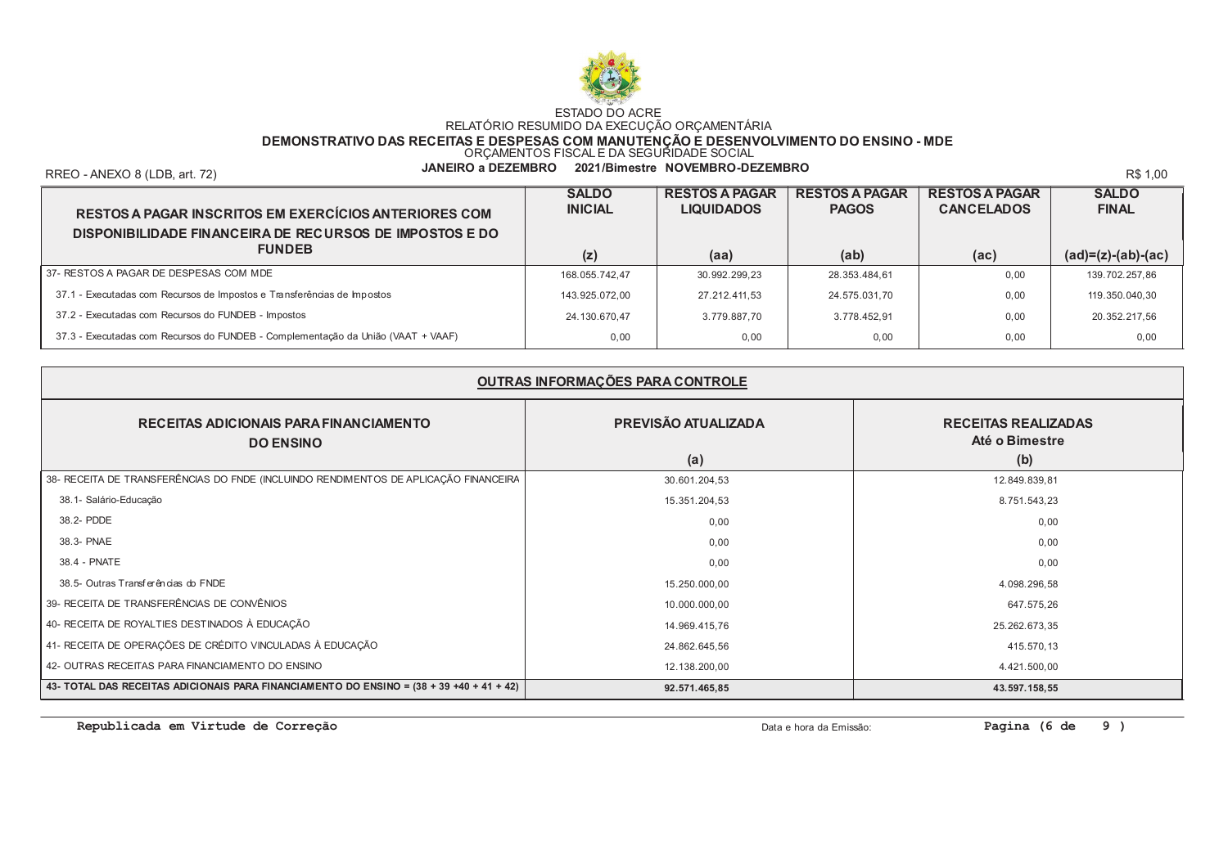

DEMONSTRATIVO DAS RECEITAS E DESPESAS COM MANUTENÇÃO E DESENVOLVIMENTO DO ENSINO - MDE<br>ORÇAMENTOS FISCAL E DA SEGURIDADE SOCIAL

RREO - ANEXO 8 (LDB, art. 72)

JANEIRO a DEZEMBRO 2021/Bimestre NOVEMBRO-DEZEMBRO

R\$ 1.00

| <b>RESTOS A PAGAR INSCRITOS EM EXERCÍCIOS ANTERIORES COM</b><br>DISPONIBILIDADE FINANCEIRA DE RECURSOS DE IMPOSTOS E DO | <b>SALDO</b><br><b>INICIAL</b> | <b>RESTOS A PAGAR</b><br><b>LIQUIDADOS</b> | <b>RESTOS A PAGAR</b><br><b>PAGOS</b> | <b>RESTOS A PAGAR</b><br><b>CANCELADOS</b> | <b>SALDO</b><br><b>FINAL</b> |
|-------------------------------------------------------------------------------------------------------------------------|--------------------------------|--------------------------------------------|---------------------------------------|--------------------------------------------|------------------------------|
| <b>FUNDEB</b>                                                                                                           | (z)                            | (aa)                                       | (ab)                                  | (ac)                                       | $(ad)=(z)-(ab)-(ac)$         |
| 37- RESTOS A PAGAR DE DESPESAS COM MDE                                                                                  | 168.055.742.47                 | 30.992.299.23                              | 28.353.484,61                         | 0.00                                       | 139.702.257,86               |
| 37.1 - Executadas com Recursos de Impostos e Transferências de Impostos                                                 | 143.925.072.00                 | 27.212.411.53                              | 24.575.031.70                         | 0.00                                       | 119.350.040.30               |
| 37.2 - Executadas com Recursos do FUNDEB - Impostos                                                                     | 24.130.670,47                  | 3.779.887,70                               | 3.778.452.91                          | 0.00                                       | 20.352.217,56                |
| 37.3 - Executadas com Recursos do FUNDEB - Complementação da União (VAAT + VAAF)                                        | 0.00                           | 0,00                                       | 0.00                                  | 0.00                                       | 0,00                         |

| OUTRAS INFORMAÇÕES PARA CONTROLE                                                                       |                            |                                                     |  |  |
|--------------------------------------------------------------------------------------------------------|----------------------------|-----------------------------------------------------|--|--|
| RECEITAS ADICIONAIS PARA FINANCIAMENTO<br><b>DO ENSINO</b>                                             | PREVISÃO ATUALIZADA<br>(a) | <b>RECEITAS REALIZADAS</b><br>Até o Bimestre<br>(b) |  |  |
| 38- RECEITA DE TRANSFERÊNCIAS DO FNDE (INCLUINDO RENDIMENTOS DE APLICAÇÃO FINANCEIRA                   | 30.601.204,53              | 12.849.839,81                                       |  |  |
| 38.1- Salário-Educação                                                                                 | 15.351.204,53              | 8.751.543,23                                        |  |  |
| 38.2- PDDE                                                                                             | 0,00                       | 0,00                                                |  |  |
| 38.3- PNAE                                                                                             | 0,00                       | 0,00                                                |  |  |
| 38.4 - PNATE                                                                                           | 0,00                       | 0,00                                                |  |  |
| 38.5- Outras Transferências do FNDE                                                                    | 15.250.000,00              | 4.098.296,58                                        |  |  |
| 39- RECEITA DE TRANSFERÊNCIAS DE CONVÊNIOS                                                             | 10.000.000,00              | 647.575,26                                          |  |  |
| 40- RECEITA DE ROYALTIES DESTINADOS À EDUCAÇÃO                                                         | 14.969.415,76              | 25.262.673,35                                       |  |  |
| 41- RECEITA DE OPERAÇÕES DE CRÉDITO VINCULADAS À EDUCAÇÃO                                              | 24.862.645,56              | 415.570,13                                          |  |  |
| 42- OUTRAS RECEITAS PARA FINANCIAMENTO DO ENSINO                                                       | 12.138.200,00              | 4.421.500,00                                        |  |  |
| $\mid$ 43- TOTAL DAS RECEITAS ADICIONAIS PARA FINANCIAMENTO DO ENSINO = (38 + 39 +40 + 41 + 42) $\mid$ | 92.571.465,85              | 43.597.158,55                                       |  |  |

Republicada em Virtude de Correção

Data e hora da Emissão:

Pagina (6 de 9)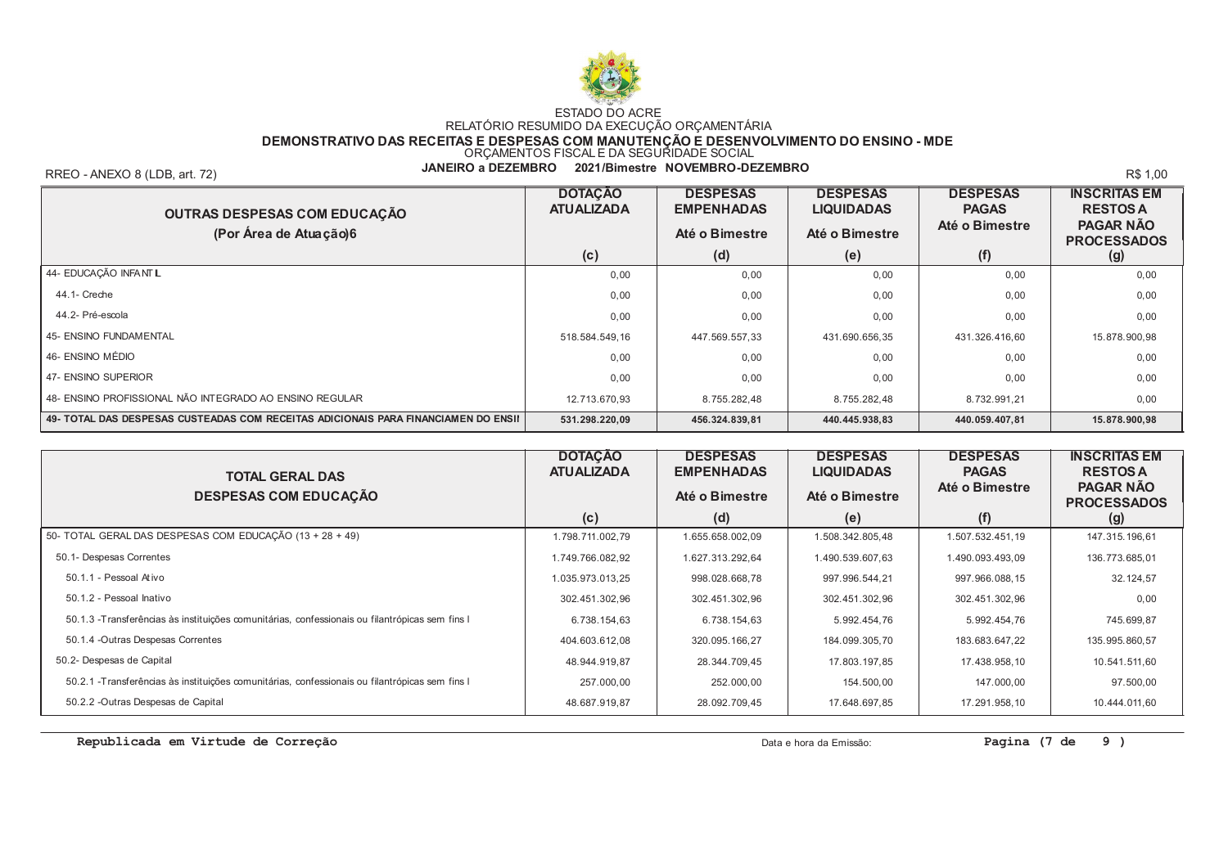

DEMONSTRATIVO DAS RECEITAS E DESPESAS COM MANUTENÇÃO E DESENVOLVIMENTO DO ENSINO - MDE<br>ORÇAMENTOS FISCAL E DA SEGURIDADE SOCIAL

RREO - ANEXO 8 (LDB, art. 72)

JANEIRO a DEZEMBRO 2021/Bimestre NOVEMBRO-DEZEMBRO

R\$ 1.00

| OUTRAS DESPESAS COM EDUCAÇÃO<br>(Por Área de Atuação)6                             | <b>DOTAÇÃO</b><br><b>ATUALIZADA</b> | <b>DESPESAS</b><br><b>EMPENHADAS</b><br>Até o Bimestre | <b>DESPESAS</b><br><b>LIQUIDADAS</b><br>Até o Bimestre | <b>DESPESAS</b><br><b>PAGAS</b><br>Até o Bimestre | <b>INSCRITAS EM</b><br><b>RESTOS A</b><br><b>PAGAR NÃO</b><br><b>PROCESSADOS</b> |
|------------------------------------------------------------------------------------|-------------------------------------|--------------------------------------------------------|--------------------------------------------------------|---------------------------------------------------|----------------------------------------------------------------------------------|
|                                                                                    | (c)                                 | (d)                                                    | (e)                                                    | (f)                                               | (g)                                                                              |
| 44- EDUCAÇÃO INFANT L                                                              | 0,00                                | 0.00                                                   | 0.00                                                   | 0,00                                              | 0,00                                                                             |
| 44.1- Creche                                                                       | 0.00                                | 0.00                                                   | 0.00                                                   | 0.00                                              | 0,00                                                                             |
| 44.2- Pré-escola                                                                   | 0.00                                | 0.00                                                   | 0.00                                                   | 0.00                                              | 0,00                                                                             |
| <b>45- ENSINO FUNDAMENTAL</b>                                                      | 518.584.549.16                      | 447.569.557.33                                         | 431.690.656,35                                         | 431.326.416.60                                    | 15.878.900,98                                                                    |
| 46- ENSINO MÉDIO                                                                   | 0.00                                | 0.00                                                   | 0.00                                                   | 0.00                                              | 0,00                                                                             |
| 47- ENSINO SUPERIOR                                                                | 0.00                                | 0.00                                                   | 0.00                                                   | 0.00                                              | 0,00                                                                             |
| 48- ENSINO PROFISSIONAL NÃO INTEGRADO AO ENSINO REGULAR                            | 12.713.670.93                       | 8.755.282.48                                           | 8.755.282.48                                           | 8.732.991.21                                      | 0,00                                                                             |
| 49- TOTAL DAS DESPESAS CUSTEADAS COM RECEITAS ADICIONAIS PARA FINANCIAMEN DO ENSII | 531.298.220,09                      | 456.324.839,81                                         | 440.445.938.83                                         | 440.059.407,81                                    | 15.878.900,98                                                                    |

| <b>TOTAL GERAL DAS</b><br><b>DESPESAS COM EDUCAÇÃO</b>                                          | <b>DOTAÇÃO</b><br><b>ATUALIZADA</b> | <b>DESPESAS</b><br><b>EMPENHADAS</b><br>Até o Bimestre | <b>DESPESAS</b><br><b>LIQUIDADAS</b><br>Até o Bimestre | <b>DESPESAS</b><br><b>PAGAS</b><br>Até o Bimestre | <b>INSCRITAS EM</b><br><b>RESTOS A</b><br><b>PAGAR NÃO</b><br><b>PROCESSADOS</b> |
|-------------------------------------------------------------------------------------------------|-------------------------------------|--------------------------------------------------------|--------------------------------------------------------|---------------------------------------------------|----------------------------------------------------------------------------------|
|                                                                                                 | (c)                                 | (d)                                                    | (e)                                                    | (f)                                               | (g)                                                                              |
| 50- TOTAL GERAL DAS DESPESAS COM EDUCAÇÃO (13 + 28 + 49)                                        | 1.798.711.002,79                    | 1.655.658.002,09                                       | 1.508.342.805,48                                       | 1.507.532.451,19                                  | 147.315.196,61                                                                   |
| 50.1- Despesas Correntes                                                                        | 1.749.766.082,92                    | 1.627.313.292,64                                       | 1.490.539.607,63                                       | 1.490.093.493,09                                  | 136.773.685,01                                                                   |
| 50.1.1 - Pessoal Ativo                                                                          | 1.035.973.013,25                    | 998.028.668,78                                         | 997.996.544,21                                         | 997.966.088,15                                    | 32.124,57                                                                        |
| 50.1.2 - Pessoal Inativo                                                                        | 302.451.302,96                      | 302.451.302,96                                         | 302.451.302,96                                         | 302.451.302,96                                    | 0.00                                                                             |
| 50.1.3 - Transferências às instituições comunitárias, confessionais ou filantrópicas sem fins l | 6.738.154,63                        | 6.738.154,63                                           | 5.992.454,76                                           | 5.992.454.76                                      | 745.699,87                                                                       |
| 50.1.4 - Outras Despesas Correntes                                                              | 404.603.612,08                      | 320.095.166,27                                         | 184.099.305,70                                         | 183.683.647,22                                    | 135.995.860,57                                                                   |
| 50.2- Despesas de Capital                                                                       | 48.944.919.87                       | 28.344.709,45                                          | 17.803.197,85                                          | 17.438.958,10                                     | 10.541.511,60                                                                    |
| 50.2.1 - Transferências às instituições comunitárias, confessionais ou filantrópicas sem fins l | 257.000,00                          | 252.000,00                                             | 154.500,00                                             | 147.000,00                                        | 97.500,00                                                                        |
| 50.2.2 - Outras Despesas de Capital                                                             | 48.687.919,87                       | 28.092.709,45                                          | 17.648.697,85                                          | 17.291.958,10                                     | 10.444.011,60                                                                    |

Republicada em Virtude de Correção

Data e hora da Emissão:

Pagina (7 de  $9<sub>0</sub>$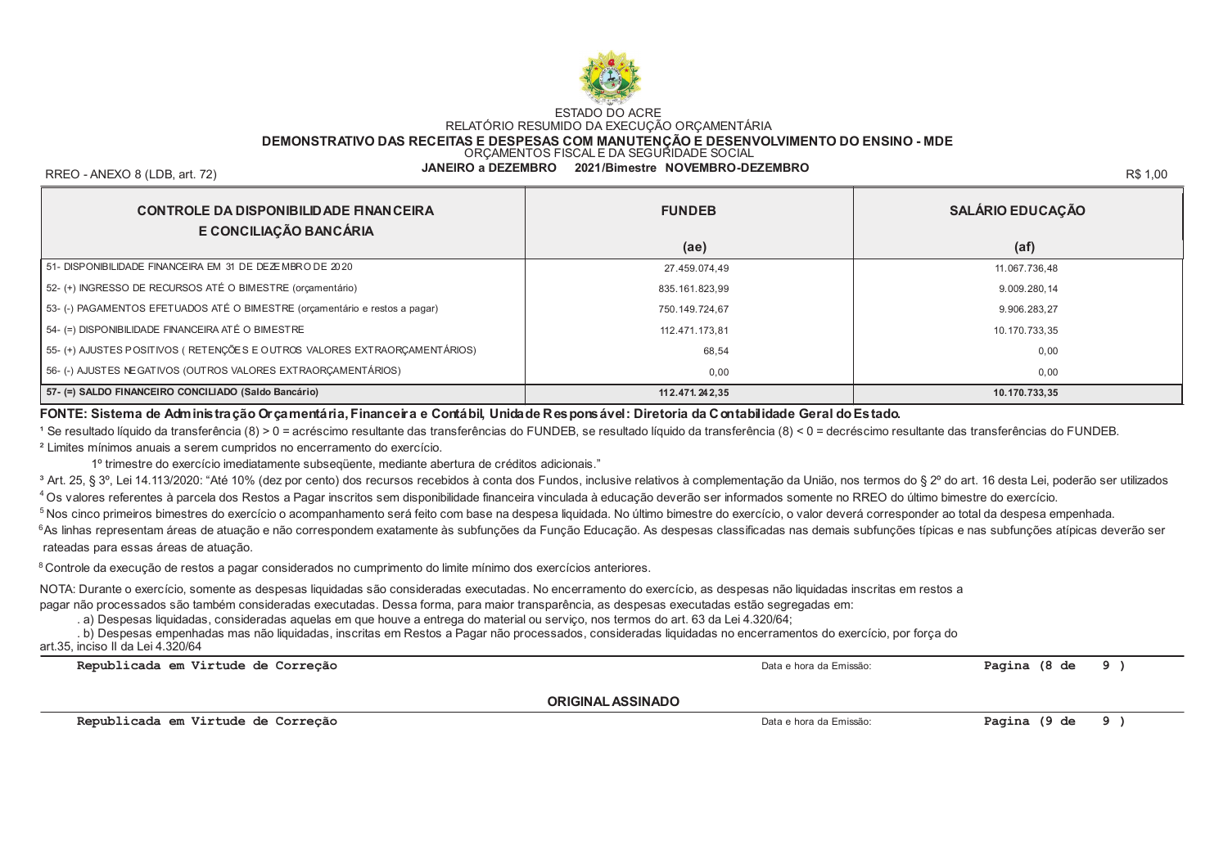

### DEMONSTRATIVO DAS RECEITAS E DESPESAS COM MANUTÉNÇÃO É DESENVOLVIMENTO DO ENSINO - MDE<br>ORÇAMENTOS FISCAL E DA SEGURIDADE SOCIAL

RREO - ANEXO 8 (LDB. art. 72)

JANEIRO a DEZEMBRO 2021/Bimestre NOVEMBRO-DEZEMBRO

R\$ 1.00

| <b>CONTROLE DA DISPONIBILIDADE FINANCEIRA</b><br>E CONCILIAÇÃO BANCÁRIA     | <b>FUNDEB</b>     | <b>SALÁRIO EDUCAÇÃO</b> |  |
|-----------------------------------------------------------------------------|-------------------|-------------------------|--|
|                                                                             | (ae)              | (af)                    |  |
| 51- DISPONIBILIDADE FINANCEIRA EM 31 DE DEZEMBRO DE 2020                    | 27.459.074,49     | 11.067.736,48           |  |
| 52- (+) INGRESSO DE RECURSOS ATÉ O BIMESTRE (orçamentário)                  | 835.161.823.99    | 9.009.280.14            |  |
| 53- (-) PAGAMENTOS EFETUADOS ATÉ O BIMESTRE (orçamentário e restos a pagar) | 750.149.724.67    | 9.906.283.27            |  |
| 54- (=) DISPONIBILIDADE FINANCEIRA ATÉ O BIMESTRE                           | 112.471.173.81    | 10.170.733.35           |  |
| 55- (+) AJUSTES POSITIVOS (RETENÇÕES E OUTROS VALORES EXTRAORÇAMENTÁRIOS)   | 68,54             | 0,00                    |  |
| 56-(-) AJUSTES NE GATIVOS (OUTROS VALORES EXTRAORÇAMENTÁRIOS)               | 0,00              | 0,00                    |  |
| 57- (=) SALDO FINANCEIRO CONCILIADO (Saldo Bancário)                        | 11 2.471, 24 2.35 | 10.170.733.35           |  |

#### FONTE: Sistema de Administração Orçamentária, Financeira e Contábil, Unidade Responsável: Diretoria da Contabilidade Geral do Estado.

1 Se resultado líquido da transferência (8) > 0 = acréscimo resultante das transferências do FUNDEB, se resultado líquido da transferência (8) < 0 = decréscimo resultante das transferências do FUNDEB. <sup>2</sup> Limites mínimos anuais a serem cumpridos no encerramento do exercício.

1º trimestre do exercício imediatamente subsegüente, mediante abertura de créditos adicionais."

<sup>3</sup> Art. 25, § 3°, Lei 14,113/2020: "Até 10% (dez por cento) dos recursos recebidos à conta dos Fundos, inclusive relativos à complementação da União, nos termos do § 2° do art. 16 desta Lei, poderão ser utilizados 4 Os valores referentes à parcela dos Restos a Pagar inscritos sem disponibilidade financeira vinculada à educação deverão ser informados somente no RREO do último bimestre do exercício.

5 Nos cinco primeiros bimestres do exercício o acompanhamento será feito com base na despesa liquidada. No último bimestre do exercício, o valor deverá corresponder ao total da despesa empenhada. 6As linhas representam áreas de atuação e não correspondem exatamente às subfunções da Função Educação. As despesas classificadas nas demais subfunções típicas e nas subfunções atípicas deverão ser rateadas para essas áreas de atuação.

<sup>8</sup> Controle da execução de restos a pagar considerados no cumprimento do limite mínimo dos exercícios anteriores.

NOTA: Durante o exercício, somente as despesas liquidadas são consideradas executadas. No encerramento do exercício, as despesas não liquidadas inscritas em restos a pagar não processados são também consideradas executadas. Dessa forma, para maior transparência, as despesas executadas estão segregadas em:

. a) Despesas liquidadas, consideradas aquelas em que houve a entrega do material ou serviço, nos termos do art. 63 da Lei 4.320/64;

. b) Despesas empenhadas mas não liquidadas, inscritas em Restos a Pagar não processados, consideradas liquidadas no encerramentos do exercício, por força do art 35, inciso II da Lei 4.320/64

| Republicada em Virtude de Correção | Data e hora da Emissão: | Pagina (8 de | 9)  |
|------------------------------------|-------------------------|--------------|-----|
| <b>ORIGINAL ASSINADO</b>           |                         |              |     |
| Republicada em Virtude de Correção | Data e hora da Emissão: | Pagina (9 de | - 9 |